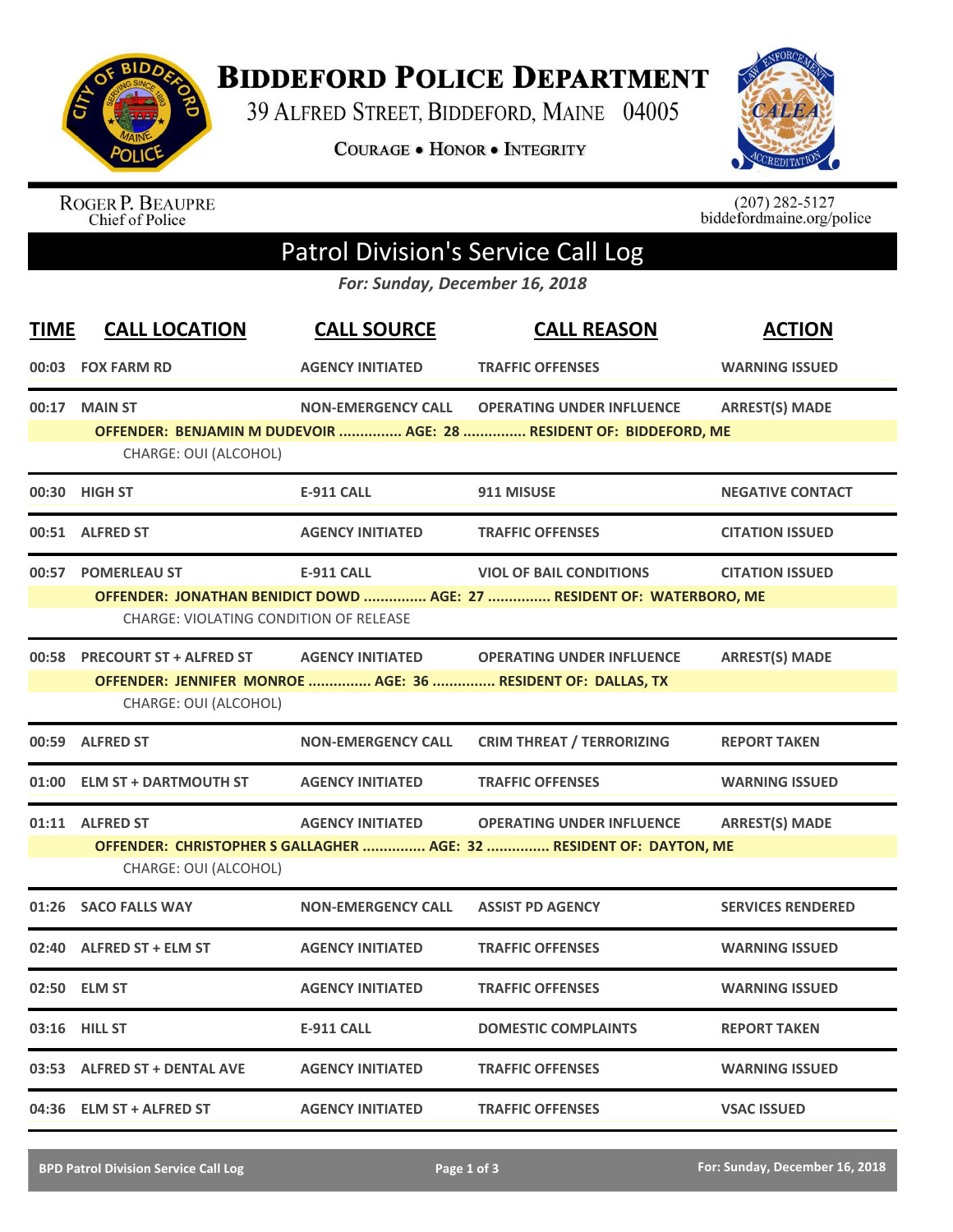

**BIDDEFORD POLICE DEPARTMENT** 

39 ALFRED STREET, BIDDEFORD, MAINE 04005

**COURAGE . HONOR . INTEGRITY** 



ROGER P. BEAUPRE<br>Chief of Police

 $(207)$  282-5127<br>biddefordmaine.org/police

## Patrol Division's Service Call Log

*For: Sunday, December 16, 2018*

| <b>TIME</b> | <b>CALL LOCATION</b>                                                 | <b>CALL SOURCE</b>        | <b>CALL REASON</b>                                                                                      | <b>ACTION</b>            |
|-------------|----------------------------------------------------------------------|---------------------------|---------------------------------------------------------------------------------------------------------|--------------------------|
|             | 00:03 FOX FARM RD                                                    | <b>AGENCY INITIATED</b>   | <b>TRAFFIC OFFENSES</b>                                                                                 | <b>WARNING ISSUED</b>    |
| 00:17       | <b>MAIN ST</b><br>CHARGE: OUI (ALCOHOL)                              | <b>NON-EMERGENCY CALL</b> | <b>OPERATING UNDER INFLUENCE</b><br>OFFENDER: BENJAMIN M DUDEVOIR  AGE: 28  RESIDENT OF: BIDDEFORD, ME  | <b>ARREST(S) MADE</b>    |
| 00:30       | <b>HIGH ST</b>                                                       | <b>E-911 CALL</b>         | 911 MISUSE                                                                                              | <b>NEGATIVE CONTACT</b>  |
|             | 00:51 ALFRED ST                                                      | <b>AGENCY INITIATED</b>   | <b>TRAFFIC OFFENSES</b>                                                                                 | <b>CITATION ISSUED</b>   |
| 00:57       | <b>POMERLEAU ST</b><br><b>CHARGE: VIOLATING CONDITION OF RELEASE</b> | <b>E-911 CALL</b>         | <b>VIOL OF BAIL CONDITIONS</b><br>OFFENDER: JONATHAN BENIDICT DOWD  AGE: 27  RESIDENT OF: WATERBORO, ME | <b>CITATION ISSUED</b>   |
| 00:58       | <b>PRECOURT ST + ALFRED ST</b><br>CHARGE: OUI (ALCOHOL)              | <b>AGENCY INITIATED</b>   | <b>OPERATING UNDER INFLUENCE</b><br>OFFENDER: JENNIFER MONROE  AGE: 36  RESIDENT OF: DALLAS, TX         | <b>ARREST(S) MADE</b>    |
|             | 00:59 ALFRED ST                                                      | <b>NON-EMERGENCY CALL</b> | <b>CRIM THREAT / TERRORIZING</b>                                                                        | <b>REPORT TAKEN</b>      |
| 01:00       | <b>ELM ST + DARTMOUTH ST</b>                                         | <b>AGENCY INITIATED</b>   | <b>TRAFFIC OFFENSES</b>                                                                                 | <b>WARNING ISSUED</b>    |
|             | 01:11 ALFRED ST<br>CHARGE: OUI (ALCOHOL)                             | <b>AGENCY INITIATED</b>   | <b>OPERATING UNDER INFLUENCE</b><br>OFFENDER: CHRISTOPHER S GALLAGHER  AGE: 32  RESIDENT OF: DAYTON, ME | <b>ARREST(S) MADE</b>    |
| 01:26       | <b>SACO FALLS WAY</b>                                                | <b>NON-EMERGENCY CALL</b> | <b>ASSIST PD AGENCY</b>                                                                                 | <b>SERVICES RENDERED</b> |
| 02:40       | ALFRED ST + ELM ST                                                   | <b>AGENCY INITIATED</b>   | <b>TRAFFIC OFFENSES</b>                                                                                 | <b>WARNING ISSUED</b>    |
|             | 02:50 ELM ST                                                         | <b>AGENCY INITIATED</b>   | <b>TRAFFIC OFFENSES</b>                                                                                 | <b>WARNING ISSUED</b>    |
|             | 03:16 HILL ST                                                        | <b>E-911 CALL</b>         | <b>DOMESTIC COMPLAINTS</b>                                                                              | <b>REPORT TAKEN</b>      |
|             | 03:53 ALFRED ST + DENTAL AVE                                         | <b>AGENCY INITIATED</b>   | <b>TRAFFIC OFFENSES</b>                                                                                 | <b>WARNING ISSUED</b>    |
|             | 04:36 ELM ST + ALFRED ST                                             | <b>AGENCY INITIATED</b>   | <b>TRAFFIC OFFENSES</b>                                                                                 | <b>VSAC ISSUED</b>       |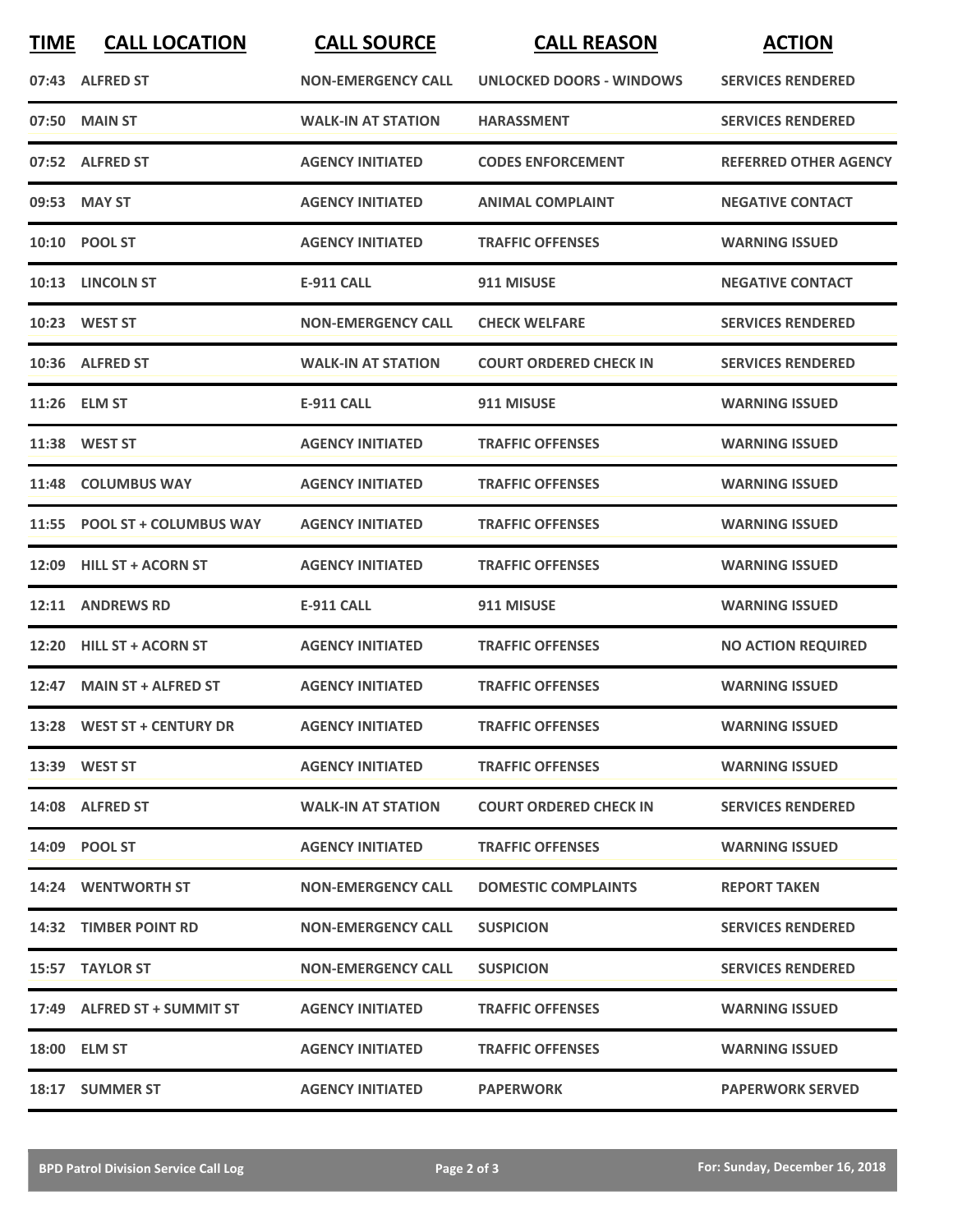| <b>TIME</b> | <b>CALL LOCATION</b>         | <b>CALL SOURCE</b>        | <b>CALL REASON</b>            | <b>ACTION</b>                |
|-------------|------------------------------|---------------------------|-------------------------------|------------------------------|
|             | 07:43 ALFRED ST              | <b>NON-EMERGENCY CALL</b> | UNLOCKED DOORS - WINDOWS      | <b>SERVICES RENDERED</b>     |
|             | 07:50 MAIN ST                | <b>WALK-IN AT STATION</b> | <b>HARASSMENT</b>             | <b>SERVICES RENDERED</b>     |
|             | 07:52 ALFRED ST              | <b>AGENCY INITIATED</b>   | <b>CODES ENFORCEMENT</b>      | <b>REFERRED OTHER AGENCY</b> |
|             | 09:53 MAY ST                 | <b>AGENCY INITIATED</b>   | <b>ANIMAL COMPLAINT</b>       | <b>NEGATIVE CONTACT</b>      |
|             | 10:10 POOL ST                | <b>AGENCY INITIATED</b>   | <b>TRAFFIC OFFENSES</b>       | <b>WARNING ISSUED</b>        |
|             | 10:13 LINCOLN ST             | <b>E-911 CALL</b>         | 911 MISUSE                    | <b>NEGATIVE CONTACT</b>      |
|             | 10:23 WEST ST                | <b>NON-EMERGENCY CALL</b> | <b>CHECK WELFARE</b>          | <b>SERVICES RENDERED</b>     |
|             | 10:36 ALFRED ST              | <b>WALK-IN AT STATION</b> | <b>COURT ORDERED CHECK IN</b> | <b>SERVICES RENDERED</b>     |
| 11:26       | <b>ELM ST</b>                | <b>E-911 CALL</b>         | 911 MISUSE                    | <b>WARNING ISSUED</b>        |
|             | 11:38 WEST ST                | <b>AGENCY INITIATED</b>   | <b>TRAFFIC OFFENSES</b>       | <b>WARNING ISSUED</b>        |
|             | 11:48 COLUMBUS WAY           | <b>AGENCY INITIATED</b>   | <b>TRAFFIC OFFENSES</b>       | <b>WARNING ISSUED</b>        |
|             | 11:55 POOL ST + COLUMBUS WAY | <b>AGENCY INITIATED</b>   | <b>TRAFFIC OFFENSES</b>       | <b>WARNING ISSUED</b>        |
| 12:09       | <b>HILL ST + ACORN ST</b>    | <b>AGENCY INITIATED</b>   | <b>TRAFFIC OFFENSES</b>       | <b>WARNING ISSUED</b>        |
|             | 12:11 ANDREWS RD             | <b>E-911 CALL</b>         | 911 MISUSE                    | <b>WARNING ISSUED</b>        |
| 12:20       | <b>HILL ST + ACORN ST</b>    | <b>AGENCY INITIATED</b>   | <b>TRAFFIC OFFENSES</b>       | <b>NO ACTION REQUIRED</b>    |
|             | 12:47 MAIN ST + ALFRED ST    | <b>AGENCY INITIATED</b>   | <b>TRAFFIC OFFENSES</b>       | <b>WARNING ISSUED</b>        |
|             | 13:28 WEST ST + CENTURY DR   | <b>AGENCY INITIATED</b>   | <b>TRAFFIC OFFENSES</b>       | <b>WARNING ISSUED</b>        |
|             | 13:39 WEST ST                | <b>AGENCY INITIATED</b>   | <b>TRAFFIC OFFENSES</b>       | <b>WARNING ISSUED</b>        |
|             | 14:08 ALFRED ST              | <b>WALK-IN AT STATION</b> | <b>COURT ORDERED CHECK IN</b> | <b>SERVICES RENDERED</b>     |
|             | 14:09 POOL ST                | <b>AGENCY INITIATED</b>   | <b>TRAFFIC OFFENSES</b>       | <b>WARNING ISSUED</b>        |
|             | 14:24 WENTWORTH ST           | <b>NON-EMERGENCY CALL</b> | <b>DOMESTIC COMPLAINTS</b>    | <b>REPORT TAKEN</b>          |
|             | 14:32 TIMBER POINT RD        | <b>NON-EMERGENCY CALL</b> | <b>SUSPICION</b>              | <b>SERVICES RENDERED</b>     |
|             | 15:57 TAYLOR ST              | <b>NON-EMERGENCY CALL</b> | <b>SUSPICION</b>              | <b>SERVICES RENDERED</b>     |
|             | 17:49 ALFRED ST + SUMMIT ST  | <b>AGENCY INITIATED</b>   | <b>TRAFFIC OFFENSES</b>       | <b>WARNING ISSUED</b>        |
|             | 18:00 ELM ST                 | <b>AGENCY INITIATED</b>   | <b>TRAFFIC OFFENSES</b>       | <b>WARNING ISSUED</b>        |
|             | 18:17 SUMMER ST              | <b>AGENCY INITIATED</b>   | <b>PAPERWORK</b>              | <b>PAPERWORK SERVED</b>      |